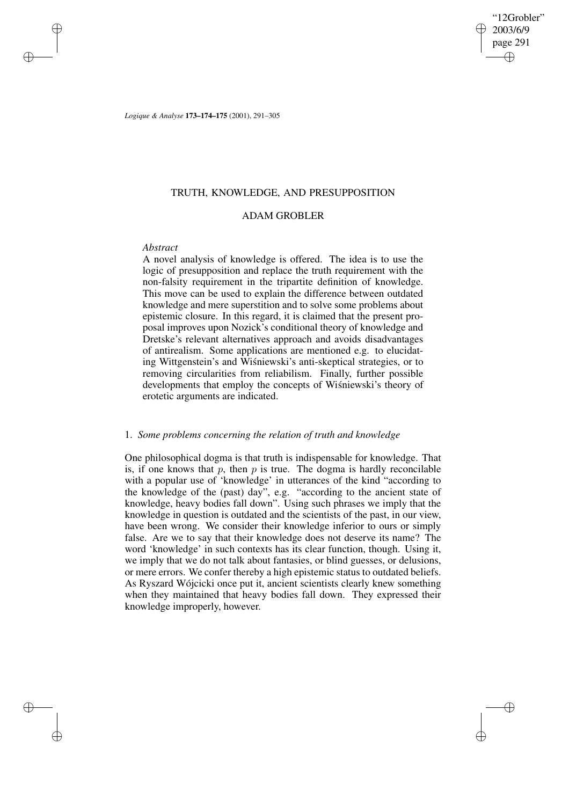2003/6/9 page 291 ✐ ✐

✐

✐

"12Grobler"

*Logique & Analyse* **173–174–175** (2001), 291–305

# TRUTH, KNOWLEDGE, AND PRESUPPOSITION

# ADAM GROBLER

## *Abstract*

✐

✐

✐

✐

A novel analysis of knowledge is offered. The idea is to use the logic of presupposition and replace the truth requirement with the non-falsity requirement in the tripartite definition of knowledge. This move can be used to explain the difference between outdated knowledge and mere superstition and to solve some problems about epistemic closure. In this regard, it is claimed that the present proposal improves upon Nozick's conditional theory of knowledge and Dretske's relevant alternatives approach and avoids disadvantages of antirealism. Some applications are mentioned e.g. to elucidating Wittgenstein's and Wisniewski's anti-skeptical strategies, or to removing circularities from reliabilism. Finally, further possible developments that employ the concepts of Wisniewski's theory of erotetic arguments are indicated.

# 1. *Some problems concerning the relation of truth and knowledge*

One philosophical dogma is that truth is indispensable for knowledge. That is, if one knows that p, then p is true. The dogma is hardly reconcilable with a popular use of 'knowledge' in utterances of the kind "according to the knowledge of the (past) day", e.g. "according to the ancient state of knowledge, heavy bodies fall down". Using such phrases we imply that the knowledge in question is outdated and the scientists of the past, in our view, have been wrong. We consider their knowledge inferior to ours or simply false. Are we to say that their knowledge does not deserve its name? The word 'knowledge' in such contexts has its clear function, though. Using it, we imply that we do not talk about fantasies, or blind guesses, or delusions, or mere errors. We confer thereby a high epistemic status to outdated beliefs. As Ryszard Wójcicki once put it, ancient scientists clearly knew something when they maintained that heavy bodies fall down. They expressed their knowledge improperly, however.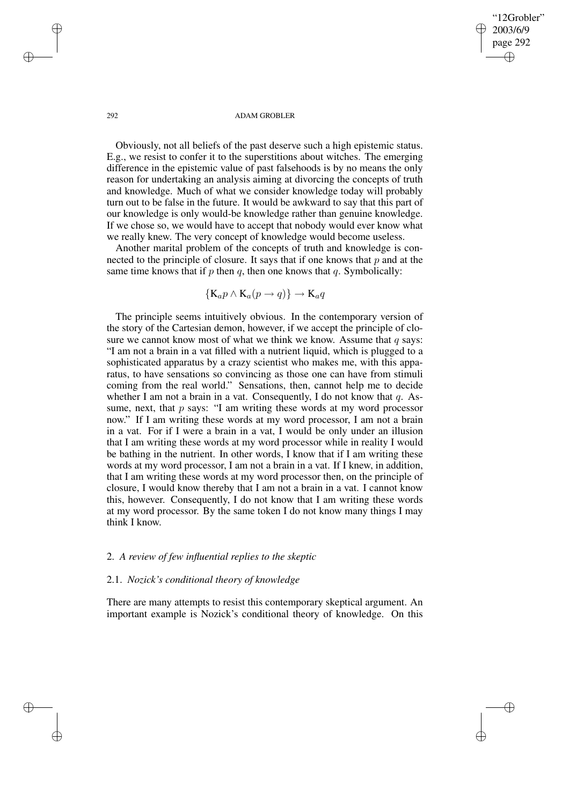## "12Grobler" 2003/6/9 page 292 ✐ ✐

✐

✐

#### 292 ADAM GROBLER

Obviously, not all beliefs of the past deserve such a high epistemic status. E.g., we resist to confer it to the superstitions about witches. The emerging difference in the epistemic value of past falsehoods is by no means the only reason for undertaking an analysis aiming at divorcing the concepts of truth and knowledge. Much of what we consider knowledge today will probably turn out to be false in the future. It would be awkward to say that this part of our knowledge is only would-be knowledge rather than genuine knowledge. If we chose so, we would have to accept that nobody would ever know what we really knew. The very concept of knowledge would become useless.

Another marital problem of the concepts of truth and knowledge is connected to the principle of closure. It says that if one knows that  $p$  and at the same time knows that if  $p$  then  $q$ , then one knows that  $q$ . Symbolically:

$$
\{K_a p \wedge K_a (p \to q)\} \to K_a q
$$

The principle seems intuitively obvious. In the contemporary version of the story of the Cartesian demon, however, if we accept the principle of closure we cannot know most of what we think we know. Assume that  $q$  says: "I am not a brain in a vat filled with a nutrient liquid, which is plugged to a sophisticated apparatus by a crazy scientist who makes me, with this apparatus, to have sensations so convincing as those one can have from stimuli coming from the real world." Sensations, then, cannot help me to decide whether I am not a brain in a vat. Consequently, I do not know that  $q$ . Assume, next, that  $p$  says: "I am writing these words at my word processor now." If I am writing these words at my word processor, I am not a brain in a vat. For if I were a brain in a vat, I would be only under an illusion that I am writing these words at my word processor while in reality I would be bathing in the nutrient. In other words, I know that if I am writing these words at my word processor, I am not a brain in a vat. If I knew, in addition, that I am writing these words at my word processor then, on the principle of closure, I would know thereby that I am not a brain in a vat. I cannot know this, however. Consequently, I do not know that I am writing these words at my word processor. By the same token I do not know many things I may think I know.

## 2. *A review of few influential replies to the skeptic*

# 2.1. *Nozick's conditional theory of knowledge*

There are many attempts to resist this contemporary skeptical argument. An important example is Nozick's conditional theory of knowledge. On this

✐

✐

✐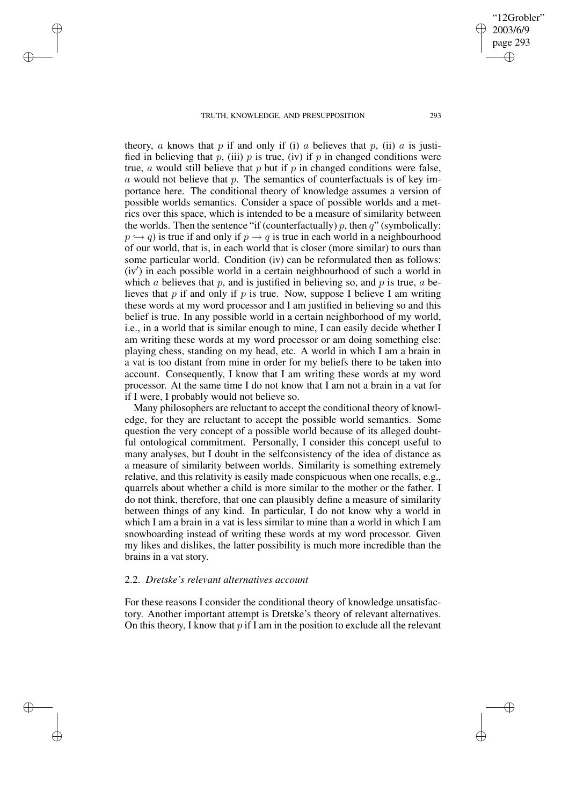✐

✐

✐

✐

theory, a knows that p if and only if (i) a believes that p, (ii) a is justified in believing that p, (iii) p is true, (iv) if p in changed conditions were true, a would still believe that  $p$  but if  $p$  in changed conditions were false, a would not believe that p. The semantics of counterfactuals is of key importance here. The conditional theory of knowledge assumes a version of possible worlds semantics. Consider a space of possible worlds and a metrics over this space, which is intended to be a measure of similarity between the worlds. Then the sentence "if (counterfactually)  $p$ , then  $q$ " (symbolically:  $p \leftrightarrow q$ ) is true if and only if  $p \rightarrow q$  is true in each world in a neighbourhood of our world, that is, in each world that is closer (more similar) to ours than some particular world. Condition (iv) can be reformulated then as follows:  $(iv')$  in each possible world in a certain neighbourhood of such a world in which a believes that p, and is justified in believing so, and p is true,  $a$  believes that  $p$  if and only if  $p$  is true. Now, suppose I believe I am writing these words at my word processor and I am justified in believing so and this belief is true. In any possible world in a certain neighborhood of my world, i.e., in a world that is similar enough to mine, I can easily decide whether I am writing these words at my word processor or am doing something else: playing chess, standing on my head, etc. A world in which I am a brain in a vat is too distant from mine in order for my beliefs there to be taken into account. Consequently, I know that I am writing these words at my word processor. At the same time I do not know that I am not a brain in a vat for if I were, I probably would not believe so.

Many philosophers are reluctant to accept the conditional theory of knowledge, for they are reluctant to accept the possible world semantics. Some question the very concept of a possible world because of its alleged doubtful ontological commitment. Personally, I consider this concept useful to many analyses, but I doubt in the selfconsistency of the idea of distance as a measure of similarity between worlds. Similarity is something extremely relative, and this relativity is easily made conspicuous when one recalls, e.g., quarrels about whether a child is more similar to the mother or the father. I do not think, therefore, that one can plausibly define a measure of similarity between things of any kind. In particular, I do not know why a world in which I am a brain in a vat is less similar to mine than a world in which I am snowboarding instead of writing these words at my word processor. Given my likes and dislikes, the latter possibility is much more incredible than the brains in a vat story.

## 2.2. *Dretske's relevant alternatives account*

For these reasons I consider the conditional theory of knowledge unsatisfactory. Another important attempt is Dretske's theory of relevant alternatives. On this theory, I know that  $p$  if I am in the position to exclude all the relevant

"12Grobler" 2003/6/9 page 293

✐

✐

✐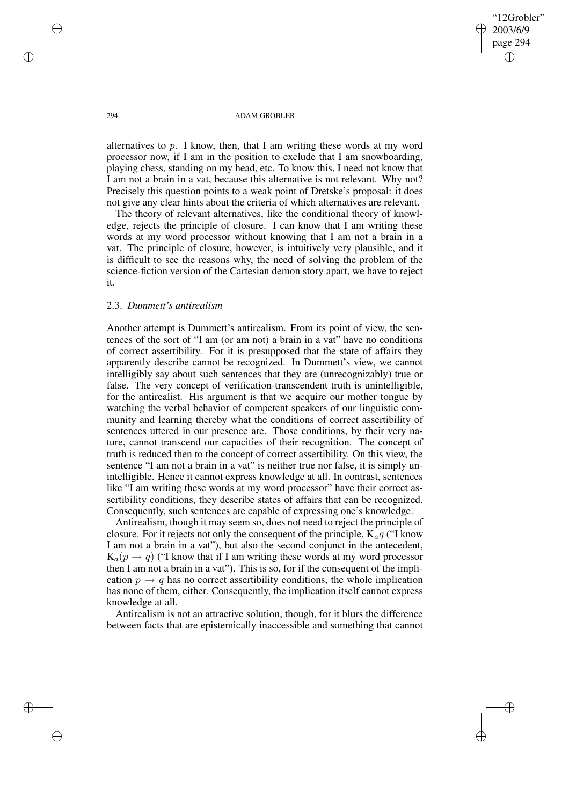"12Grobler" 2003/6/9 page 294 ✐ ✐

✐

✐

#### 294 ADAM GROBLER

alternatives to p. I know, then, that I am writing these words at my word processor now, if I am in the position to exclude that I am snowboarding, playing chess, standing on my head, etc. To know this, I need not know that I am not a brain in a vat, because this alternative is not relevant. Why not? Precisely this question points to a weak point of Dretske's proposal: it does not give any clear hints about the criteria of which alternatives are relevant.

The theory of relevant alternatives, like the conditional theory of knowledge, rejects the principle of closure. I can know that I am writing these words at my word processor without knowing that I am not a brain in a vat. The principle of closure, however, is intuitively very plausible, and it is difficult to see the reasons why, the need of solving the problem of the science-fiction version of the Cartesian demon story apart, we have to reject it.

## 2.3. *Dummett's antirealism*

Another attempt is Dummett's antirealism. From its point of view, the sentences of the sort of "I am (or am not) a brain in a vat" have no conditions of correct assertibility. For it is presupposed that the state of affairs they apparently describe cannot be recognized. In Dummett's view, we cannot intelligibly say about such sentences that they are (unrecognizably) true or false. The very concept of verification-transcendent truth is unintelligible, for the antirealist. His argument is that we acquire our mother tongue by watching the verbal behavior of competent speakers of our linguistic community and learning thereby what the conditions of correct assertibility of sentences uttered in our presence are. Those conditions, by their very nature, cannot transcend our capacities of their recognition. The concept of truth is reduced then to the concept of correct assertibility. On this view, the sentence "I am not a brain in a vat" is neither true nor false, it is simply unintelligible. Hence it cannot express knowledge at all. In contrast, sentences like "I am writing these words at my word processor" have their correct assertibility conditions, they describe states of affairs that can be recognized. Consequently, such sentences are capable of expressing one's knowledge.

Antirealism, though it may seem so, does not need to reject the principle of closure. For it rejects not only the consequent of the principle,  $K_a q$  ("I know I am not a brain in a vat"), but also the second conjunct in the antecedent,  $K_a(p \rightarrow q)$  ("I know that if I am writing these words at my word processor then I am not a brain in a vat"). This is so, for if the consequent of the implication  $p \rightarrow q$  has no correct assertibility conditions, the whole implication has none of them, either. Consequently, the implication itself cannot express knowledge at all.

Antirealism is not an attractive solution, though, for it blurs the difference between facts that are epistemically inaccessible and something that cannot

✐

✐

✐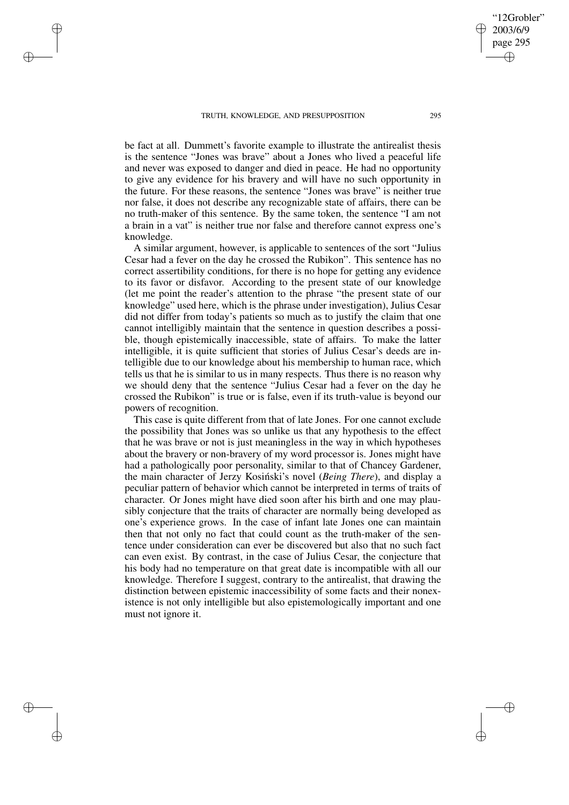✐

✐

✐

✐

be fact at all. Dummett's favorite example to illustrate the antirealist thesis is the sentence "Jones was brave" about a Jones who lived a peaceful life and never was exposed to danger and died in peace. He had no opportunity to give any evidence for his bravery and will have no such opportunity in the future. For these reasons, the sentence "Jones was brave" is neither true nor false, it does not describe any recognizable state of affairs, there can be no truth-maker of this sentence. By the same token, the sentence "I am not a brain in a vat" is neither true nor false and therefore cannot express one's knowledge.

A similar argument, however, is applicable to sentences of the sort "Julius Cesar had a fever on the day he crossed the Rubikon". This sentence has no correct assertibility conditions, for there is no hope for getting any evidence to its favor or disfavor. According to the present state of our knowledge (let me point the reader's attention to the phrase "the present state of our knowledge" used here, which is the phrase under investigation), Julius Cesar did not differ from today's patients so much as to justify the claim that one cannot intelligibly maintain that the sentence in question describes a possible, though epistemically inaccessible, state of affairs. To make the latter intelligible, it is quite sufficient that stories of Julius Cesar's deeds are intelligible due to our knowledge about his membership to human race, which tells us that he is similar to us in many respects. Thus there is no reason why we should deny that the sentence "Julius Cesar had a fever on the day he crossed the Rubikon" is true or is false, even if its truth-value is beyond our powers of recognition.

This case is quite different from that of late Jones. For one cannot exclude the possibility that Jones was so unlike us that any hypothesis to the effect that he was brave or not is just meaningless in the way in which hypotheses about the bravery or non-bravery of my word processor is. Jones might have had a pathologically poor personality, similar to that of Chancey Gardener, the main character of Jerzy Kosiński's novel (*Being There*), and display a peculiar pattern of behavior which cannot be interpreted in terms of traits of character. Or Jones might have died soon after his birth and one may plausibly conjecture that the traits of character are normally being developed as one's experience grows. In the case of infant late Jones one can maintain then that not only no fact that could count as the truth-maker of the sentence under consideration can ever be discovered but also that no such fact can even exist. By contrast, in the case of Julius Cesar, the conjecture that his body had no temperature on that great date is incompatible with all our knowledge. Therefore I suggest, contrary to the antirealist, that drawing the distinction between epistemic inaccessibility of some facts and their nonexistence is not only intelligible but also epistemologically important and one must not ignore it.

"12Grobler" 2003/6/9 page 295

✐

✐

✐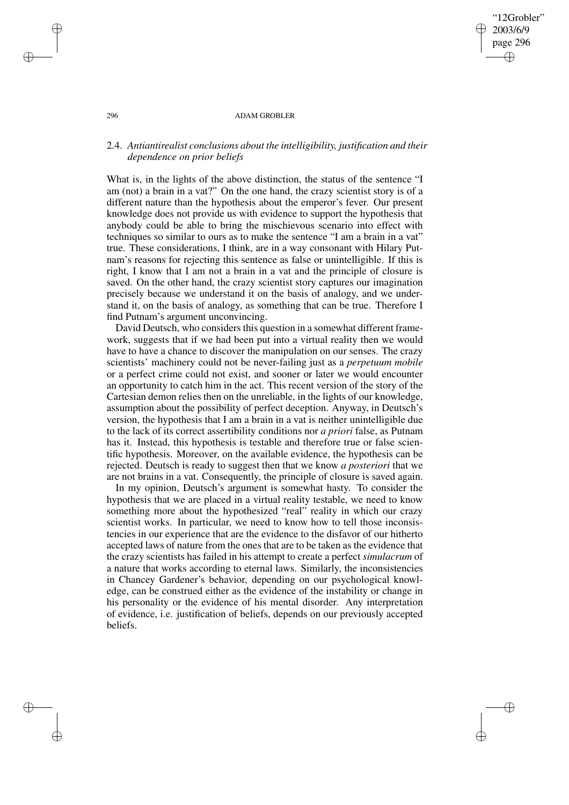#### 296 ADAM GROBLER

"12Grobler" 2003/6/9 page 296

✐

✐

✐

✐

# 2.4. *Antiantirealist conclusions about the intelligibility, justification and their dependence on prior beliefs*

What is, in the lights of the above distinction, the status of the sentence "I am (not) a brain in a vat?" On the one hand, the crazy scientist story is of a different nature than the hypothesis about the emperor's fever. Our present knowledge does not provide us with evidence to support the hypothesis that anybody could be able to bring the mischievous scenario into effect with techniques so similar to ours as to make the sentence "I am a brain in a vat" true. These considerations, I think, are in a way consonant with Hilary Putnam's reasons for rejecting this sentence as false or unintelligible. If this is right, I know that I am not a brain in a vat and the principle of closure is saved. On the other hand, the crazy scientist story captures our imagination precisely because we understand it on the basis of analogy, and we understand it, on the basis of analogy, as something that can be true. Therefore I find Putnam's argument unconvincing.

David Deutsch, who considers this question in a somewhat different framework, suggests that if we had been put into a virtual reality then we would have to have a chance to discover the manipulation on our senses. The crazy scientists' machinery could not be never-failing just as a *perpetuum mobile* or a perfect crime could not exist, and sooner or later we would encounter an opportunity to catch him in the act. This recent version of the story of the Cartesian demon relies then on the unreliable, in the lights of our knowledge, assumption about the possibility of perfect deception. Anyway, in Deutsch's version, the hypothesis that I am a brain in a vat is neither unintelligible due to the lack of its correct assertibility conditions nor *a priori* false, as Putnam has it. Instead, this hypothesis is testable and therefore true or false scientific hypothesis. Moreover, on the available evidence, the hypothesis can be rejected. Deutsch is ready to suggest then that we know *a posteriori* that we are not brains in a vat. Consequently, the principle of closure is saved again.

In my opinion, Deutsch's argument is somewhat hasty. To consider the hypothesis that we are placed in a virtual reality testable, we need to know something more about the hypothesized "real" reality in which our crazy scientist works. In particular, we need to know how to tell those inconsistencies in our experience that are the evidence to the disfavor of our hitherto accepted laws of nature from the ones that are to be taken as the evidence that the crazy scientists has failed in his attempt to create a perfect *simulacrum* of a nature that works according to eternal laws. Similarly, the inconsistencies in Chancey Gardener's behavior, depending on our psychological knowledge, can be construed either as the evidence of the instability or change in his personality or the evidence of his mental disorder. Any interpretation of evidence, i.e. justification of beliefs, depends on our previously accepted beliefs.

✐

✐

✐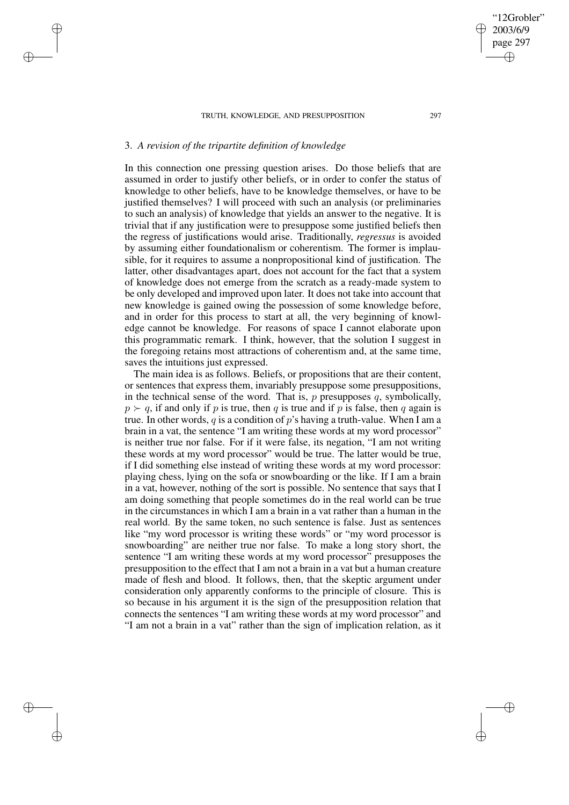# 3. *A revision of the tripartite definition of knowledge*

✐

✐

✐

✐

In this connection one pressing question arises. Do those beliefs that are assumed in order to justify other beliefs, or in order to confer the status of knowledge to other beliefs, have to be knowledge themselves, or have to be justified themselves? I will proceed with such an analysis (or preliminaries to such an analysis) of knowledge that yields an answer to the negative. It is trivial that if any justification were to presuppose some justified beliefs then the regress of justifications would arise. Traditionally, *regressus* is avoided by assuming either foundationalism or coherentism. The former is implausible, for it requires to assume a nonpropositional kind of justification. The latter, other disadvantages apart, does not account for the fact that a system of knowledge does not emerge from the scratch as a ready-made system to be only developed and improved upon later. It does not take into account that new knowledge is gained owing the possession of some knowledge before, and in order for this process to start at all, the very beginning of knowledge cannot be knowledge. For reasons of space I cannot elaborate upon this programmatic remark. I think, however, that the solution I suggest in the foregoing retains most attractions of coherentism and, at the same time, saves the intuitions just expressed.

The main idea is as follows. Beliefs, or propositions that are their content, or sentences that express them, invariably presuppose some presuppositions, in the technical sense of the word. That is, p presupposes q, symbolically,  $p \succ q$ , if and only if p is true, then q is true and if p is false, then q again is true. In other words, q is a condition of p's having a truth-value. When I am a brain in a vat, the sentence "I am writing these words at my word processor" is neither true nor false. For if it were false, its negation, "I am not writing these words at my word processor" would be true. The latter would be true, if I did something else instead of writing these words at my word processor: playing chess, lying on the sofa or snowboarding or the like. If I am a brain in a vat, however, nothing of the sort is possible. No sentence that says that I am doing something that people sometimes do in the real world can be true in the circumstances in which I am a brain in a vat rather than a human in the real world. By the same token, no such sentence is false. Just as sentences like "my word processor is writing these words" or "my word processor is snowboarding" are neither true nor false. To make a long story short, the sentence "I am writing these words at my word processor" presupposes the presupposition to the effect that I am not a brain in a vat but a human creature made of flesh and blood. It follows, then, that the skeptic argument under consideration only apparently conforms to the principle of closure. This is so because in his argument it is the sign of the presupposition relation that connects the sentences "I am writing these words at my word processor" and "I am not a brain in a vat" rather than the sign of implication relation, as it

"12Grobler" 2003/6/9 page 297

✐

✐

✐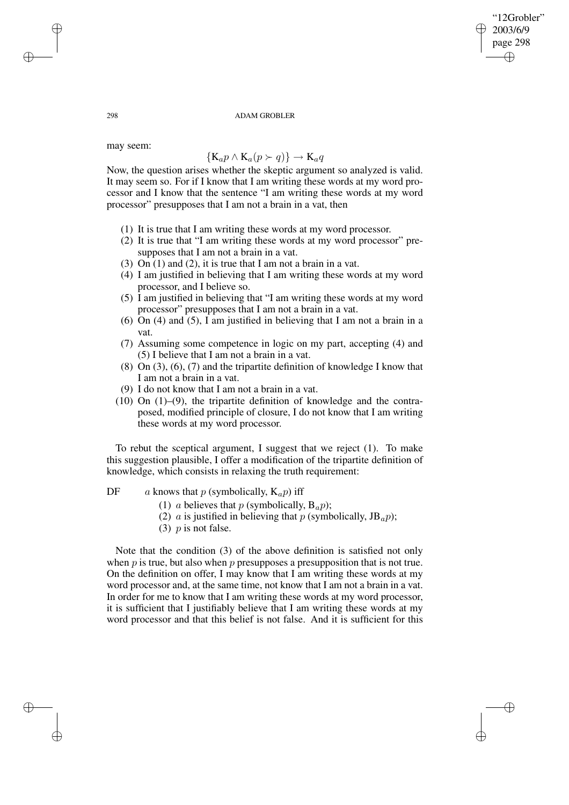✐

✐

#### 298 ADAM GROBLER

may seem:

# ${K_a p \wedge K_a (p \succ q)} \rightarrow K_a q$

Now, the question arises whether the skeptic argument so analyzed is valid. It may seem so. For if I know that I am writing these words at my word processor and I know that the sentence "I am writing these words at my word processor" presupposes that I am not a brain in a vat, then

- (1) It is true that I am writing these words at my word processor.
- (2) It is true that "I am writing these words at my word processor" presupposes that I am not a brain in a vat.
- (3) On (1) and (2), it is true that I am not a brain in a vat.
- (4) I am justified in believing that I am writing these words at my word processor, and I believe so.
- (5) I am justified in believing that "I am writing these words at my word processor" presupposes that I am not a brain in a vat.
- (6) On (4) and (5), I am justified in believing that I am not a brain in a vat.
- (7) Assuming some competence in logic on my part, accepting (4) and (5) I believe that I am not a brain in a vat.
- (8) On (3), (6), (7) and the tripartite definition of knowledge I know that I am not a brain in a vat.
- (9) I do not know that I am not a brain in a vat.
- $(10)$  On  $(1)$ – $(9)$ , the tripartite definition of knowledge and the contraposed, modified principle of closure, I do not know that I am writing these words at my word processor.

To rebut the sceptical argument, I suggest that we reject (1). To make this suggestion plausible, I offer a modification of the tripartite definition of knowledge, which consists in relaxing the truth requirement:

DF a knows that p (symbolically,  $K_a p$ ) iff

- (1) a believes that p (symbolically,  $B_a p$ );
- (2) a is justified in believing that p (symbolically,  $JB_a p$ );
- (3)  $p$  is not false.

Note that the condition (3) of the above definition is satisfied not only when  $p$  is true, but also when  $p$  presupposes a presupposition that is not true. On the definition on offer, I may know that I am writing these words at my word processor and, at the same time, not know that I am not a brain in a vat. In order for me to know that I am writing these words at my word processor, it is sufficient that I justifiably believe that I am writing these words at my word processor and that this belief is not false. And it is sufficient for this

✐

✐

✐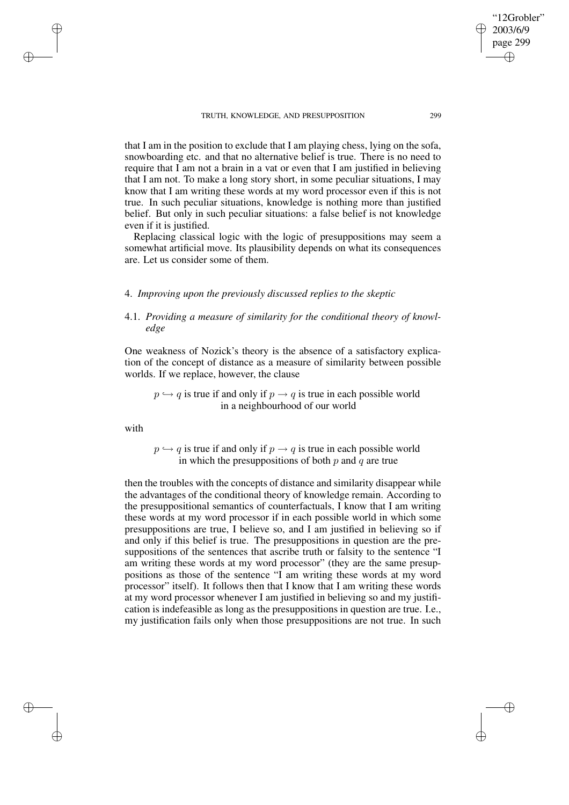that I am in the position to exclude that I am playing chess, lying on the sofa, snowboarding etc. and that no alternative belief is true. There is no need to require that I am not a brain in a vat or even that I am justified in believing that I am not. To make a long story short, in some peculiar situations, I may know that I am writing these words at my word processor even if this is not true. In such peculiar situations, knowledge is nothing more than justified belief. But only in such peculiar situations: a false belief is not knowledge even if it is justified.

Replacing classical logic with the logic of presuppositions may seem a somewhat artificial move. Its plausibility depends on what its consequences are. Let us consider some of them.

## 4. *Improving upon the previously discussed replies to the skeptic*

# 4.1. *Providing a measure of similarity for the conditional theory of knowledge*

One weakness of Nozick's theory is the absence of a satisfactory explication of the concept of distance as a measure of similarity between possible worlds. If we replace, however, the clause

 $p \leftrightarrow q$  is true if and only if  $p \rightarrow q$  is true in each possible world in a neighbourhood of our world

with

✐

✐

✐

✐

 $p \leftrightarrow q$  is true if and only if  $p \rightarrow q$  is true in each possible world in which the presuppositions of both  $p$  and  $q$  are true

then the troubles with the concepts of distance and similarity disappear while the advantages of the conditional theory of knowledge remain. According to the presuppositional semantics of counterfactuals, I know that I am writing these words at my word processor if in each possible world in which some presuppositions are true, I believe so, and I am justified in believing so if and only if this belief is true. The presuppositions in question are the presuppositions of the sentences that ascribe truth or falsity to the sentence "I am writing these words at my word processor" (they are the same presuppositions as those of the sentence "I am writing these words at my word processor" itself). It follows then that I know that I am writing these words at my word processor whenever I am justified in believing so and my justification is indefeasible as long as the presuppositions in question are true. I.e., my justification fails only when those presuppositions are not true. In such

"12Grobler" 2003/6/9 page 299

✐

✐

✐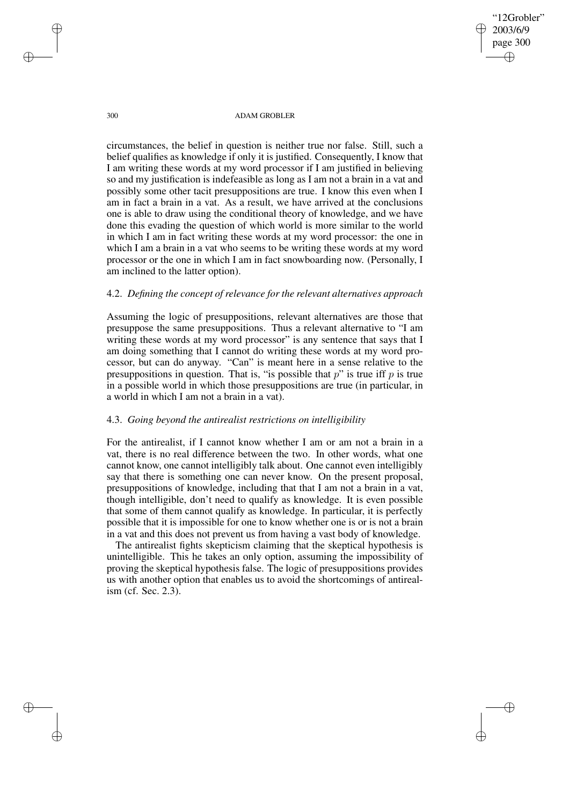"12Grobler" 2003/6/9 page 300 ✐ ✐

✐

✐

300 ADAM GROBLER

circumstances, the belief in question is neither true nor false. Still, such a belief qualifies as knowledge if only it is justified. Consequently, I know that I am writing these words at my word processor if I am justified in believing so and my justification is indefeasible as long as I am not a brain in a vat and possibly some other tacit presuppositions are true. I know this even when I am in fact a brain in a vat. As a result, we have arrived at the conclusions one is able to draw using the conditional theory of knowledge, and we have done this evading the question of which world is more similar to the world in which I am in fact writing these words at my word processor: the one in which I am a brain in a vat who seems to be writing these words at my word processor or the one in which I am in fact snowboarding now. (Personally, I am inclined to the latter option).

## 4.2. *Defining the concept of relevance for the relevant alternatives approach*

Assuming the logic of presuppositions, relevant alternatives are those that presuppose the same presuppositions. Thus a relevant alternative to "I am writing these words at my word processor" is any sentence that says that I am doing something that I cannot do writing these words at my word processor, but can do anyway. "Can" is meant here in a sense relative to the presuppositions in question. That is, "is possible that  $p$ " is true iff  $p$  is true in a possible world in which those presuppositions are true (in particular, in a world in which I am not a brain in a vat).

## 4.3. *Going beyond the antirealist restrictions on intelligibility*

For the antirealist, if I cannot know whether I am or am not a brain in a vat, there is no real difference between the two. In other words, what one cannot know, one cannot intelligibly talk about. One cannot even intelligibly say that there is something one can never know. On the present proposal, presuppositions of knowledge, including that that I am not a brain in a vat, though intelligible, don't need to qualify as knowledge. It is even possible that some of them cannot qualify as knowledge. In particular, it is perfectly possible that it is impossible for one to know whether one is or is not a brain in a vat and this does not prevent us from having a vast body of knowledge.

The antirealist fights skepticism claiming that the skeptical hypothesis is unintelligible. This he takes an only option, assuming the impossibility of proving the skeptical hypothesis false. The logic of presuppositions provides us with another option that enables us to avoid the shortcomings of antirealism (cf. Sec. 2.3).

✐

✐

✐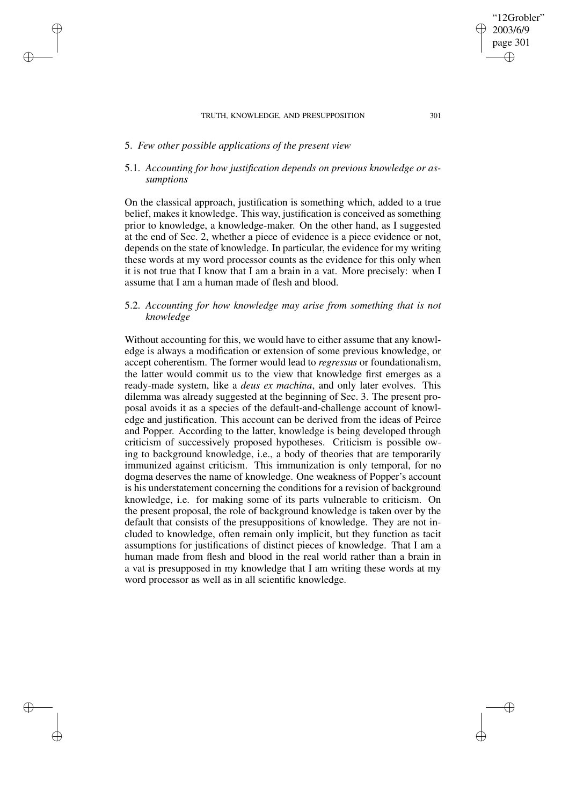# 5. *Few other possible applications of the present view*

✐

✐

✐

✐

# 5.1. *Accounting for how justification depends on previous knowledge or assumptions*

On the classical approach, justification is something which, added to a true belief, makes it knowledge. This way, justification is conceived as something prior to knowledge, a knowledge-maker. On the other hand, as I suggested at the end of Sec. 2, whether a piece of evidence is a piece evidence or not, depends on the state of knowledge. In particular, the evidence for my writing these words at my word processor counts as the evidence for this only when it is not true that I know that I am a brain in a vat. More precisely: when I assume that I am a human made of flesh and blood.

# 5.2. *Accounting for how knowledge may arise from something that is not knowledge*

Without accounting for this, we would have to either assume that any knowledge is always a modification or extension of some previous knowledge, or accept coherentism. The former would lead to *regressus* or foundationalism, the latter would commit us to the view that knowledge first emerges as a ready-made system, like a *deus ex machina*, and only later evolves. This dilemma was already suggested at the beginning of Sec. 3. The present proposal avoids it as a species of the default-and-challenge account of knowledge and justification. This account can be derived from the ideas of Peirce and Popper. According to the latter, knowledge is being developed through criticism of successively proposed hypotheses. Criticism is possible owing to background knowledge, i.e., a body of theories that are temporarily immunized against criticism. This immunization is only temporal, for no dogma deserves the name of knowledge. One weakness of Popper's account is his understatement concerning the conditions for a revision of background knowledge, i.e. for making some of its parts vulnerable to criticism. On the present proposal, the role of background knowledge is taken over by the default that consists of the presuppositions of knowledge. They are not included to knowledge, often remain only implicit, but they function as tacit assumptions for justifications of distinct pieces of knowledge. That I am a human made from flesh and blood in the real world rather than a brain in a vat is presupposed in my knowledge that I am writing these words at my word processor as well as in all scientific knowledge.

✐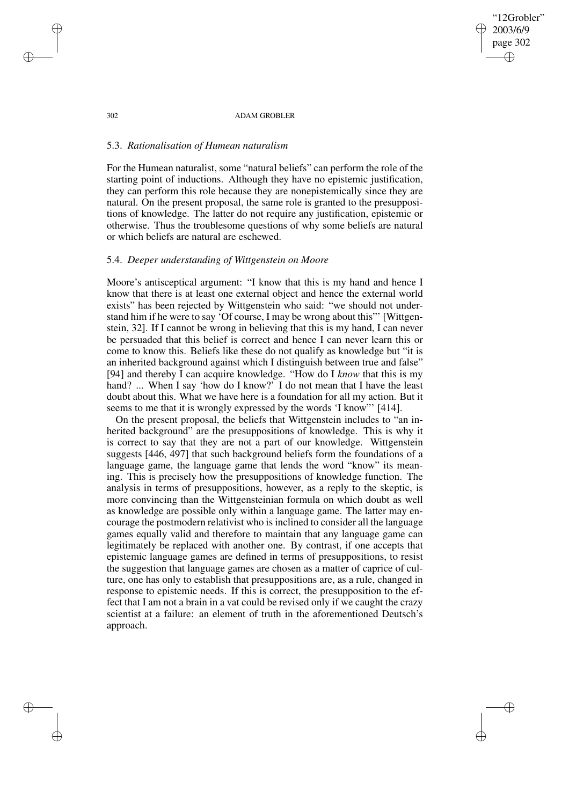#### 302 ADAM GROBLER

"12Grobler" 2003/6/9 page 302

✐

✐

✐

✐

# 5.3. *Rationalisation of Humean naturalism*

For the Humean naturalist, some "natural beliefs" can perform the role of the starting point of inductions. Although they have no epistemic justification, they can perform this role because they are nonepistemically since they are natural. On the present proposal, the same role is granted to the presuppositions of knowledge. The latter do not require any justification, epistemic or otherwise. Thus the troublesome questions of why some beliefs are natural or which beliefs are natural are eschewed.

## 5.4. *Deeper understanding of Wittgenstein on Moore*

Moore's antisceptical argument: "I know that this is my hand and hence I know that there is at least one external object and hence the external world exists" has been rejected by Wittgenstein who said: "we should not understand him if he were to say 'Of course, I may be wrong about this"' [Wittgenstein, 32]. If I cannot be wrong in believing that this is my hand, I can never be persuaded that this belief is correct and hence I can never learn this or come to know this. Beliefs like these do not qualify as knowledge but "it is an inherited background against which I distinguish between true and false" [94] and thereby I can acquire knowledge. "How do I *know* that this is my hand? ... When I say 'how do I know?' I do not mean that I have the least doubt about this. What we have here is a foundation for all my action. But it seems to me that it is wrongly expressed by the words 'I know"' [414].

On the present proposal, the beliefs that Wittgenstein includes to "an inherited background" are the presuppositions of knowledge. This is why it is correct to say that they are not a part of our knowledge. Wittgenstein suggests [446, 497] that such background beliefs form the foundations of a language game, the language game that lends the word "know" its meaning. This is precisely how the presuppositions of knowledge function. The analysis in terms of presuppositions, however, as a reply to the skeptic, is more convincing than the Wittgensteinian formula on which doubt as well as knowledge are possible only within a language game. The latter may encourage the postmodern relativist who is inclined to consider all the language games equally valid and therefore to maintain that any language game can legitimately be replaced with another one. By contrast, if one accepts that epistemic language games are defined in terms of presuppositions, to resist the suggestion that language games are chosen as a matter of caprice of culture, one has only to establish that presuppositions are, as a rule, changed in response to epistemic needs. If this is correct, the presupposition to the effect that I am not a brain in a vat could be revised only if we caught the crazy scientist at a failure: an element of truth in the aforementioned Deutsch's approach.

✐

✐

✐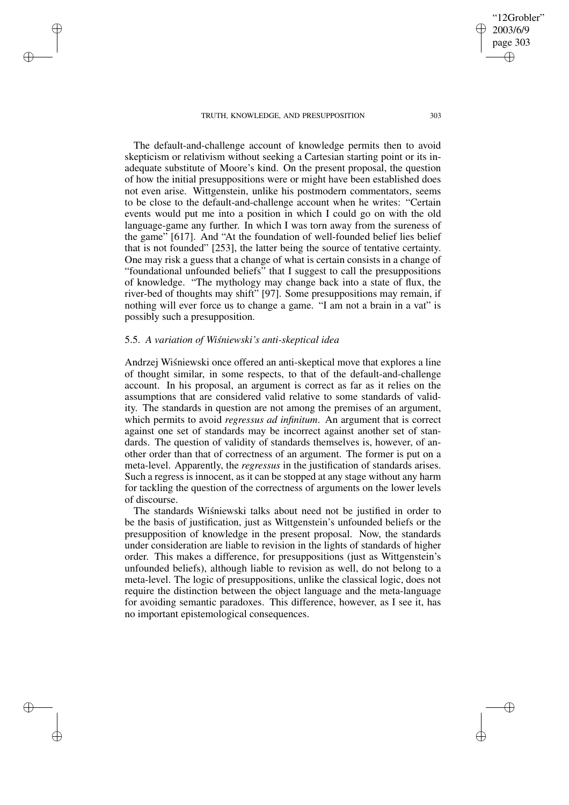The default-and-challenge account of knowledge permits then to avoid skepticism or relativism without seeking a Cartesian starting point or its inadequate substitute of Moore's kind. On the present proposal, the question of how the initial presuppositions were or might have been established does not even arise. Wittgenstein, unlike his postmodern commentators, seems to be close to the default-and-challenge account when he writes: "Certain events would put me into a position in which I could go on with the old language-game any further. In which I was torn away from the sureness of the game" [617]. And "At the foundation of well-founded belief lies belief that is not founded" [253], the latter being the source of tentative certainty. One may risk a guess that a change of what is certain consists in a change of "foundational unfounded beliefs" that I suggest to call the presuppositions of knowledge. "The mythology may change back into a state of flux, the river-bed of thoughts may shift" [97]. Some presuppositions may remain, if nothing will ever force us to change a game. "I am not a brain in a vat" is possibly such a presupposition.

# 5.5. *A variation of Wisnie ´ wski's anti-skeptical idea*

✐

✐

✐

✐

Andrzej Wiśniewski once offered an anti-skeptical move that explores a line of thought similar, in some respects, to that of the default-and-challenge account. In his proposal, an argument is correct as far as it relies on the assumptions that are considered valid relative to some standards of validity. The standards in question are not among the premises of an argument, which permits to avoid *regressus ad infinitum*. An argument that is correct against one set of standards may be incorrect against another set of standards. The question of validity of standards themselves is, however, of another order than that of correctness of an argument. The former is put on a meta-level. Apparently, the *regressus* in the justification of standards arises. Such a regress is innocent, as it can be stopped at any stage without any harm for tackling the question of the correctness of arguments on the lower levels of discourse.

The standards Wisniewski talks about need not be justified in order to be the basis of justification, just as Wittgenstein's unfounded beliefs or the presupposition of knowledge in the present proposal. Now, the standards under consideration are liable to revision in the lights of standards of higher order. This makes a difference, for presuppositions (just as Wittgenstein's unfounded beliefs), although liable to revision as well, do not belong to a meta-level. The logic of presuppositions, unlike the classical logic, does not require the distinction between the object language and the meta-language for avoiding semantic paradoxes. This difference, however, as I see it, has no important epistemological consequences.

"12Grobler" 2003/6/9 page 303

✐

✐

✐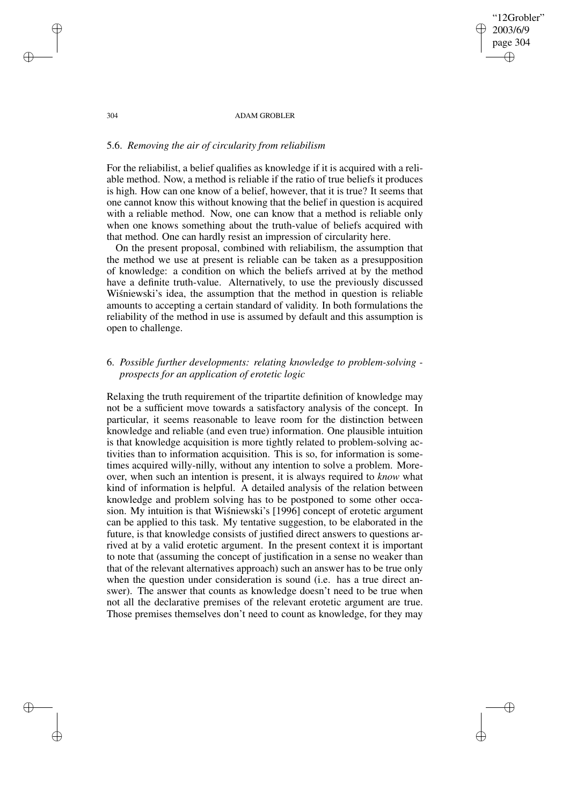304 ADAM GROBLER

"12Grobler" 2003/6/9 page 304

✐

✐

✐

✐

## 5.6. *Removing the air of circularity from reliabilism*

For the reliabilist, a belief qualifies as knowledge if it is acquired with a reliable method. Now, a method is reliable if the ratio of true beliefs it produces is high. How can one know of a belief, however, that it is true? It seems that one cannot know this without knowing that the belief in question is acquired with a reliable method. Now, one can know that a method is reliable only when one knows something about the truth-value of beliefs acquired with that method. One can hardly resist an impression of circularity here.

On the present proposal, combined with reliabilism, the assumption that the method we use at present is reliable can be taken as a presupposition of knowledge: a condition on which the beliefs arrived at by the method have a definite truth-value. Alternatively, to use the previously discussed Wisniewski's idea, the assumption that the method in question is reliable amounts to accepting a certain standard of validity. In both formulations the reliability of the method in use is assumed by default and this assumption is open to challenge.

# 6. *Possible further developments: relating knowledge to problem-solving prospects for an application of erotetic logic*

Relaxing the truth requirement of the tripartite definition of knowledge may not be a sufficient move towards a satisfactory analysis of the concept. In particular, it seems reasonable to leave room for the distinction between knowledge and reliable (and even true) information. One plausible intuition is that knowledge acquisition is more tightly related to problem-solving activities than to information acquisition. This is so, for information is sometimes acquired willy-nilly, without any intention to solve a problem. Moreover, when such an intention is present, it is always required to *know* what kind of information is helpful. A detailed analysis of the relation between knowledge and problem solving has to be postponed to some other occasion. My intuition is that Wisniewski's [1996] concept of erotetic argument can be applied to this task. My tentative suggestion, to be elaborated in the future, is that knowledge consists of justified direct answers to questions arrived at by a valid erotetic argument. In the present context it is important to note that (assuming the concept of justification in a sense no weaker than that of the relevant alternatives approach) such an answer has to be true only when the question under consideration is sound (i.e. has a true direct answer). The answer that counts as knowledge doesn't need to be true when not all the declarative premises of the relevant erotetic argument are true. Those premises themselves don't need to count as knowledge, for they may

✐

✐

✐